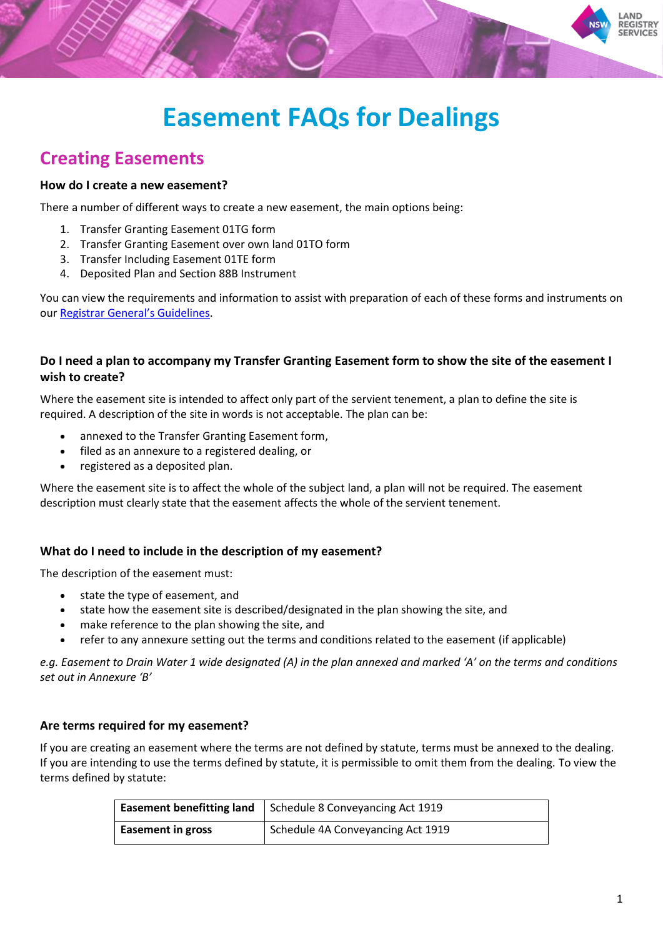

## **Creating Easements**

#### **How do I create a new easement?**

There a number of different ways to create a new easement, the main options being:

- 1. Transfer Granting Easement 01TG form
- 2. Transfer Granting Easement over own land 01TO form
- 3. Transfer Including Easement 01TE form
- 4. Deposited Plan and Section 88B Instrument

You can view the requirements and information to assist with preparation of each of these forms and instruments on our [Registrar General's Guidelines](https://rg-guidelines.nswlrs.com.au/).

### **Do I need a plan to accompany my Transfer Granting Easement form to show the site of the easement I wish to create?**

Where the easement site is intended to affect only part of the servient tenement, a plan to define the site is required. A description of the site in words is not acceptable. The plan can be:

- annexed to the Transfer Granting Easement form,
- filed as an annexure to a registered dealing, or
- registered as a deposited plan.

Where the easement site is to affect the whole of the subject land, a plan will not be required. The easement description must clearly state that the easement affects the whole of the servient tenement.

### **What do I need to include in the description of my easement?**

The description of the easement must:

- state the type of easement, and
- state how the easement site is described/designated in the plan showing the site, and
- make reference to the plan showing the site, and
- refer to any annexure setting out the terms and conditions related to the easement (if applicable)

*e.g. Easement to Drain Water 1 wide designated (A) in the plan annexed and marked 'A' on the terms and conditions set out in Annexure 'B'*

#### **Are terms required for my easement?**

If you are creating an easement where the terms are not defined by statute, terms must be annexed to the dealing. If you are intending to use the terms defined by statute, it is permissible to omit them from the dealing. To view the terms defined by statute:

| <b>Easement benefitting land</b> | Schedule 8 Conveyancing Act 1919  |
|----------------------------------|-----------------------------------|
| <b>Easement in gross</b>         | Schedule 4A Conveyancing Act 1919 |

**AND REGISTRY SERVICES**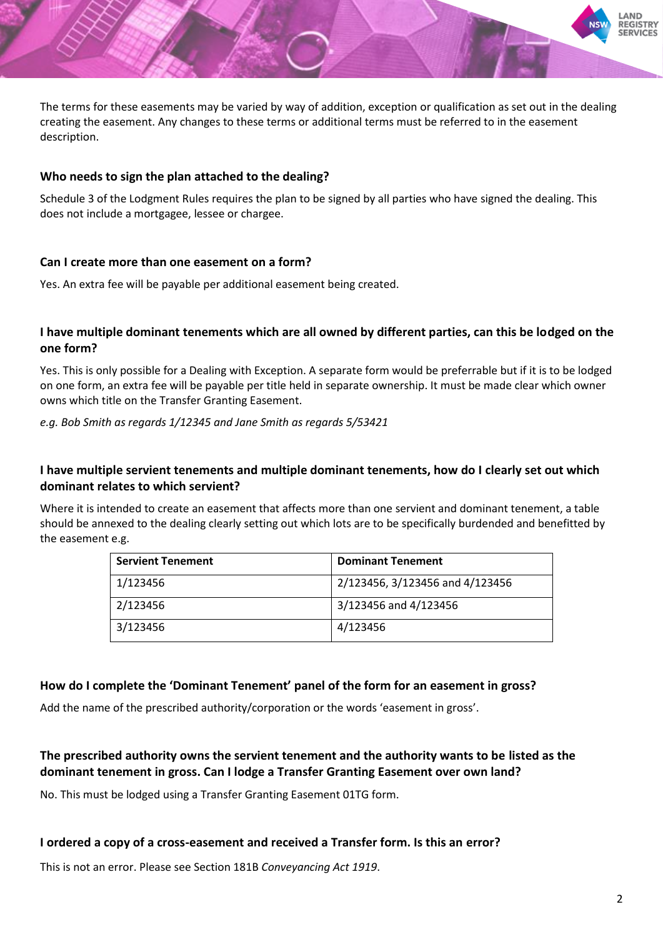The terms for these easements may be varied by way of addition, exception or qualification as set out in the dealing creating the easement. Any changes to these terms or additional terms must be referred to in the easement description.

### **Who needs to sign the plan attached to the dealing?**

Schedule 3 of the Lodgment Rules requires the plan to be signed by all parties who have signed the dealing. This does not include a mortgagee, lessee or chargee.

### **Can I create more than one easement on a form?**

Yes. An extra fee will be payable per additional easement being created.

## **I have multiple dominant tenements which are all owned by different parties, can this be lodged on the one form?**

Yes. This is only possible for a Dealing with Exception. A separate form would be preferrable but if it is to be lodged on one form, an extra fee will be payable per title held in separate ownership. It must be made clear which owner owns which title on the Transfer Granting Easement.

*e.g. Bob Smith as regards 1/12345 and Jane Smith as regards 5/53421*

### **I have multiple servient tenements and multiple dominant tenements, how do I clearly set out which dominant relates to which servient?**

Where it is intended to create an easement that affects more than one servient and dominant tenement, a table should be annexed to the dealing clearly setting out which lots are to be specifically burdended and benefitted by the easement e.g.

| <b>Servient Tenement</b> | <b>Dominant Tenement</b>        |
|--------------------------|---------------------------------|
| 1/123456                 | 2/123456, 3/123456 and 4/123456 |
| 2/123456                 | 3/123456 and 4/123456           |
| 3/123456                 | 4/123456                        |

## **How do I complete the 'Dominant Tenement' panel of the form for an easement in gross?**

Add the name of the prescribed authority/corporation or the words 'easement in gross'.

## **The prescribed authority owns the servient tenement and the authority wants to be listed as the dominant tenement in gross. Can I lodge a Transfer Granting Easement over own land?**

No. This must be lodged using a Transfer Granting Easement 01TG form.

### **I ordered a copy of a cross-easement and received a Transfer form. Is this an error?**

This is not an error. Please see Section 181B *Conveyancing Act 1919*.

**AND REGISTRY SERVICES**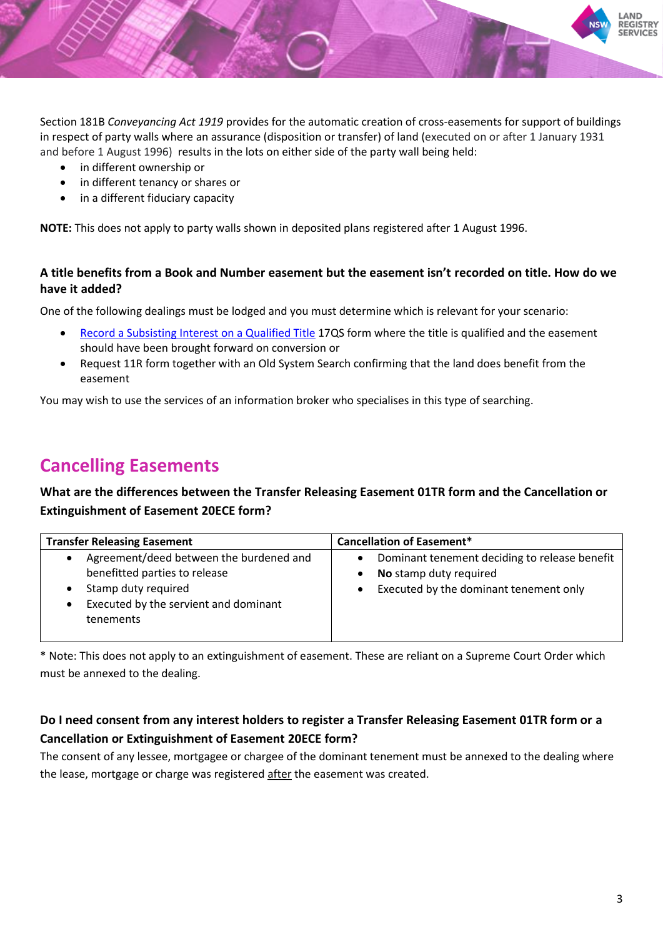

Section 181B *Conveyancing Act 1919* provides for the automatic creation of cross-easements for support of buildings in respect of party walls where an assurance (disposition or transfer) of land (executed on or after 1 January 1931 and before 1 August 1996) results in the lots on either side of the party wall being held:

- in different ownership or
- in different tenancy or shares or
- in a different fiduciary capacity

**NOTE:** This does not apply to party walls shown in deposited plans registered after 1 August 1996.

## **A title benefits from a Book and Number easement but the easement isn't recorded on title. How do we have it added?**

One of the following dealings must be lodged and you must determine which is relevant for your scenario:

- [Record a Subsisting Interest on a Qualified Title](https://rg-guidelines.nswlrs.com.au/land_dealings/dealing_requirements/qualified_title/record_subsisting_interest_qualifiedtitle) 17QS form where the title is qualified and the easement should have been brought forward on conversion or
- Request 11R form together with an Old System Search confirming that the land does benefit from the easement

You may wish to use the services of an information broker who specialises in this type of searching.

## **Cancelling Easements**

**What are the differences between the Transfer Releasing Easement 01TR form and the Cancellation or Extinguishment of Easement 20ECE form?**

| <b>Transfer Releasing Easement</b>                                                                                                                                      | <b>Cancellation of Easement*</b>                                                                                  |
|-------------------------------------------------------------------------------------------------------------------------------------------------------------------------|-------------------------------------------------------------------------------------------------------------------|
| Agreement/deed between the burdened and<br>$\bullet$<br>benefitted parties to release<br>Stamp duty required<br>Executed by the servient and dominant<br>٠<br>tenements | Dominant tenement deciding to release benefit<br>No stamp duty required<br>Executed by the dominant tenement only |

\* Note: This does not apply to an extinguishment of easement. These are reliant on a Supreme Court Order which must be annexed to the dealing.

## **Do I need consent from any interest holders to register a Transfer Releasing Easement 01TR form or a Cancellation or Extinguishment of Easement 20ECE form?**

The consent of any lessee, mortgagee or chargee of the dominant tenement must be annexed to the dealing where the lease, mortgage or charge was registered after the easement was created.